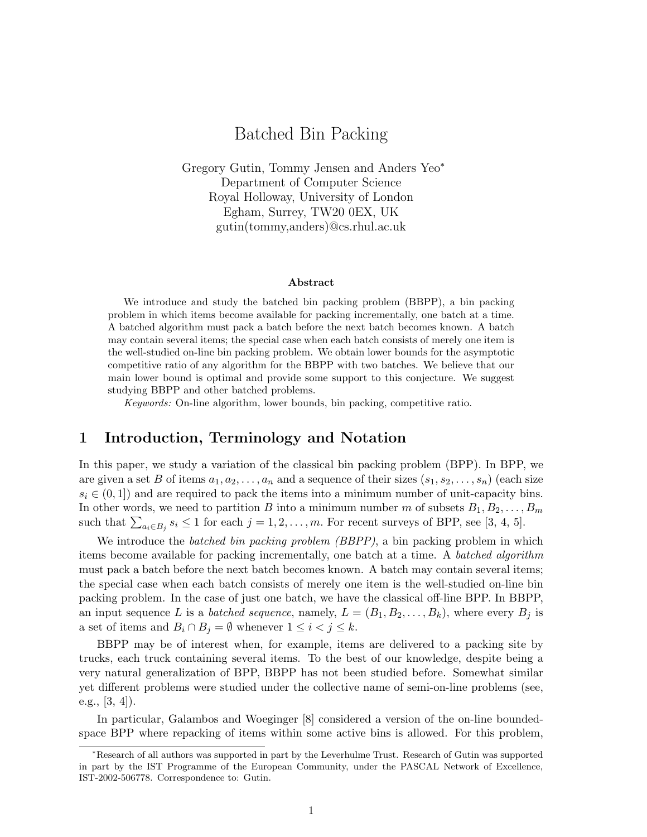# Batched Bin Packing

Gregory Gutin, Tommy Jensen and Anders Yeo<sup>∗</sup> Department of Computer Science Royal Holloway, University of London Egham, Surrey, TW20 0EX, UK gutin(tommy,anders)@cs.rhul.ac.uk

#### Abstract

We introduce and study the batched bin packing problem (BBPP), a bin packing problem in which items become available for packing incrementally, one batch at a time. A batched algorithm must pack a batch before the next batch becomes known. A batch may contain several items; the special case when each batch consists of merely one item is the well-studied on-line bin packing problem. We obtain lower bounds for the asymptotic competitive ratio of any algorithm for the BBPP with two batches. We believe that our main lower bound is optimal and provide some support to this conjecture. We suggest studying BBPP and other batched problems.

Keywords: On-line algorithm, lower bounds, bin packing, competitive ratio.

# 1 Introduction, Terminology and Notation

In this paper, we study a variation of the classical bin packing problem (BPP). In BPP, we are given a set B of items  $a_1, a_2, \ldots, a_n$  and a sequence of their sizes  $(s_1, s_2, \ldots, s_n)$  (each size  $s_i \in (0, 1]$  and are required to pack the items into a minimum number of unit-capacity bins. In other words, we need to partition B into a minimum number m of subsets  $B_1, B_2, \ldots, B_m$ in other words, we need to partition *D* into a minimum number *m* or subsets  $D_1, D_2, \ldots$ ,<br>such that  $\sum_{a_i \in B_j} s_i \le 1$  for each  $j = 1, 2, \ldots, m$ . For recent surveys of BPP, see [3, 4, 5].

We introduce the *batched bin packing problem (BBPP)*, a bin packing problem in which items become available for packing incrementally, one batch at a time. A batched algorithm must pack a batch before the next batch becomes known. A batch may contain several items; the special case when each batch consists of merely one item is the well-studied on-line bin packing problem. In the case of just one batch, we have the classical off-line BPP. In BBPP, an input sequence L is a batched sequence, namely,  $L = (B_1, B_2, \ldots, B_k)$ , where every  $B_j$  is a set of items and  $B_i \cap B_j = \emptyset$  whenever  $1 \leq i < j \leq k$ .

BBPP may be of interest when, for example, items are delivered to a packing site by trucks, each truck containing several items. To the best of our knowledge, despite being a very natural generalization of BPP, BBPP has not been studied before. Somewhat similar yet different problems were studied under the collective name of semi-on-line problems (see, e.g., [3, 4]).

In particular, Galambos and Woeginger [8] considered a version of the on-line boundedspace BPP where repacking of items within some active bins is allowed. For this problem,

<sup>∗</sup>Research of all authors was supported in part by the Leverhulme Trust. Research of Gutin was supported in part by the IST Programme of the European Community, under the PASCAL Network of Excellence, IST-2002-506778. Correspondence to: Gutin.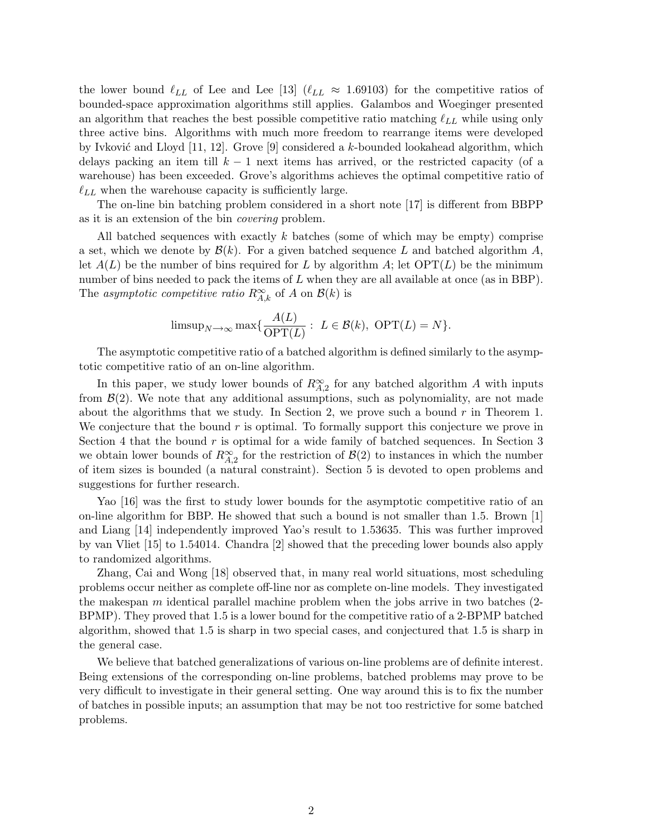the lower bound  $\ell_{LL}$  of Lee and Lee [13] ( $\ell_{LL} \approx 1.69103$ ) for the competitive ratios of bounded-space approximation algorithms still applies. Galambos and Woeginger presented an algorithm that reaches the best possible competitive ratio matching  $\ell_{LL}$  while using only three active bins. Algorithms with much more freedom to rearrange items were developed by Ivković and Lloyd [11, 12]. Grove [9] considered a k-bounded lookahead algorithm, which delays packing an item till  $k - 1$  next items has arrived, or the restricted capacity (of a warehouse) has been exceeded. Grove's algorithms achieves the optimal competitive ratio of  $\ell_{LL}$  when the warehouse capacity is sufficiently large.

The on-line bin batching problem considered in a short note [17] is different from BBPP as it is an extension of the bin covering problem.

All batched sequences with exactly k batches (some of which may be empty) comprise a set, which we denote by  $\mathcal{B}(k)$ . For a given batched sequence L and batched algorithm A, let  $A(L)$  be the number of bins required for L by algorithm A; let  $\text{OPT}(L)$  be the minimum number of bins needed to pack the items of  $L$  when they are all available at once (as in BBP). The asymptotic competitive ratio  $R^{\infty}_{A,k}$  of A on  $\mathcal{B}(k)$  is

$$
\text{limsup}_{N \to \infty} \max \{ \frac{A(L)}{\text{OPT}(L)} : L \in \mathcal{B}(k), \text{ OPT}(L) = N \}.
$$

The asymptotic competitive ratio of a batched algorithm is defined similarly to the asymptotic competitive ratio of an on-line algorithm.

In this paper, we study lower bounds of  $R^{\infty}_{A,2}$  for any batched algorithm A with inputs from  $\mathcal{B}(2)$ . We note that any additional assumptions, such as polynomiality, are not made about the algorithms that we study. In Section 2, we prove such a bound  $r$  in Theorem 1. We conjecture that the bound  $r$  is optimal. To formally support this conjecture we prove in Section 4 that the bound  $r$  is optimal for a wide family of batched sequences. In Section 3 we obtain lower bounds of  $R^{\infty}_{A,2}$  for the restriction of  $\mathcal{B}(2)$  to instances in which the number of item sizes is bounded (a natural constraint). Section 5 is devoted to open problems and suggestions for further research.

Yao [16] was the first to study lower bounds for the asymptotic competitive ratio of an on-line algorithm for BBP. He showed that such a bound is not smaller than 1.5. Brown [1] and Liang [14] independently improved Yao's result to 1.53635. This was further improved by van Vliet [15] to 1.54014. Chandra [2] showed that the preceding lower bounds also apply to randomized algorithms.

Zhang, Cai and Wong [18] observed that, in many real world situations, most scheduling problems occur neither as complete off-line nor as complete on-line models. They investigated the makespan  $m$  identical parallel machine problem when the jobs arrive in two batches  $(2$ -BPMP). They proved that 1.5 is a lower bound for the competitive ratio of a 2-BPMP batched algorithm, showed that 1.5 is sharp in two special cases, and conjectured that 1.5 is sharp in the general case.

We believe that batched generalizations of various on-line problems are of definite interest. Being extensions of the corresponding on-line problems, batched problems may prove to be very difficult to investigate in their general setting. One way around this is to fix the number of batches in possible inputs; an assumption that may be not too restrictive for some batched problems.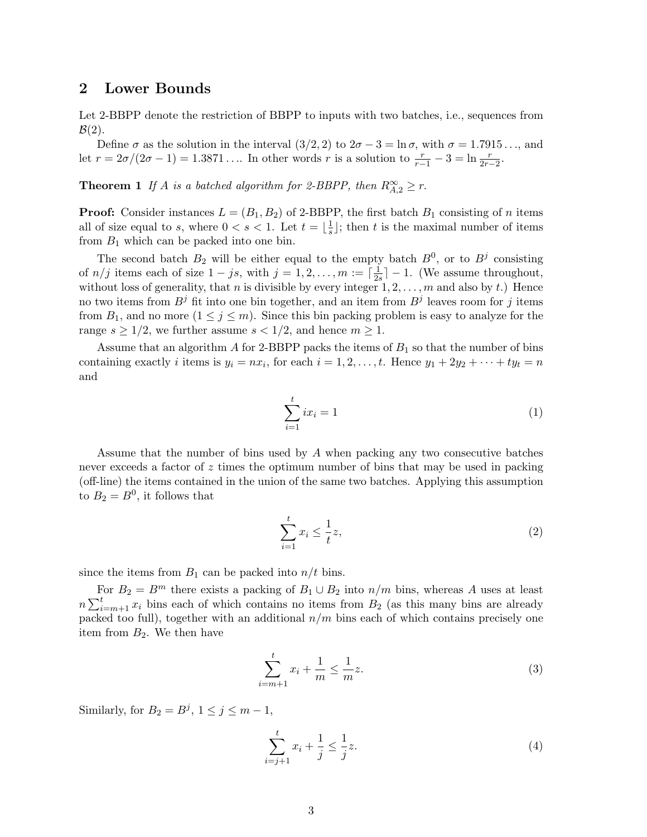#### 2 Lower Bounds

Let 2-BBPP denote the restriction of BBPP to inputs with two batches, i.e., sequences from  $\mathcal{B}(2)$ .

Define  $\sigma$  as the solution in the interval  $(3/2, 2)$  to  $2\sigma - 3 = \ln \sigma$ , with  $\sigma = 1.7915...$ , and let  $r = 2\sigma/(2\sigma - 1) = 1.3871...$  In other words r is a solution to  $\frac{r}{r-1} - 3 = \ln \frac{r}{2r-2}$ .

**Theorem 1** If A is a batched algorithm for 2-BBPP, then  $R_{A,2}^{\infty} \geq r$ .

**Proof:** Consider instances  $L = (B_1, B_2)$  of 2-BBPP, the first batch  $B_1$  consisting of *n* items all of size equal to s, where  $0 < s < 1$ . Let  $t = \frac{1}{s}$  $\frac{1}{s}$ ; then t is the maximal number of items from  $B_1$  which can be packed into one bin.

The second batch  $B_2$  will be either equal to the empty batch  $B^0$ , or to  $B^j$  consisting of  $n/j$  items each of size  $1 - js$ , with  $j = 1, 2, \ldots, m := \lceil \frac{1}{2} \rceil$  $\frac{1}{2s}$  – 1. (We assume throughout, without loss of generality, that n is divisible by every integer  $1, 2, \ldots, m$  and also by t.) Hence no two items from  $B^j$  fit into one bin together, and an item from  $B^j$  leaves room for j items from  $B_1$ , and no more  $(1 \leq j \leq m)$ . Since this bin packing problem is easy to analyze for the range  $s \geq 1/2$ , we further assume  $s < 1/2$ , and hence  $m \geq 1$ .

Assume that an algorithm  $A$  for 2-BBPP packs the items of  $B_1$  so that the number of bins containing exactly *i* items is  $y_i = nx_i$ , for each  $i = 1, 2, ..., t$ . Hence  $y_1 + 2y_2 + \cdots + ty_t = n$ and

$$
\sum_{i=1}^{t} ix_i = 1\tag{1}
$$

Assume that the number of bins used by A when packing any two consecutive batches never exceeds a factor of z times the optimum number of bins that may be used in packing (off-line) the items contained in the union of the same two batches. Applying this assumption to  $B_2 = B^0$ , it follows that

$$
\sum_{i=1}^{t} x_i \le \frac{1}{t} z,\tag{2}
$$

since the items from  $B_1$  can be packed into  $n/t$  bins.

For  $B_2 = B^m$  there exists a packing of  $B_1 \cup B_2$  into  $n/m$  bins, whereas A uses at least  $n \sum_{i}^{\mathbf{r}}$  $\sum_{i=m+1}^{t} x_i$  bins each of which contains no items from  $B_2$  (as this many bins are already packed too full), together with an additional  $n/m$  bins each of which contains precisely one item from  $B_2$ . We then have

$$
\sum_{i=m+1}^{t} x_i + \frac{1}{m} \le \frac{1}{m} z.
$$
 (3)

Similarly, for  $B_2 = B^j$ ,  $1 \le j \le m - 1$ ,

$$
\sum_{i=j+1}^{t} x_i + \frac{1}{j} \le \frac{1}{j} z.
$$
 (4)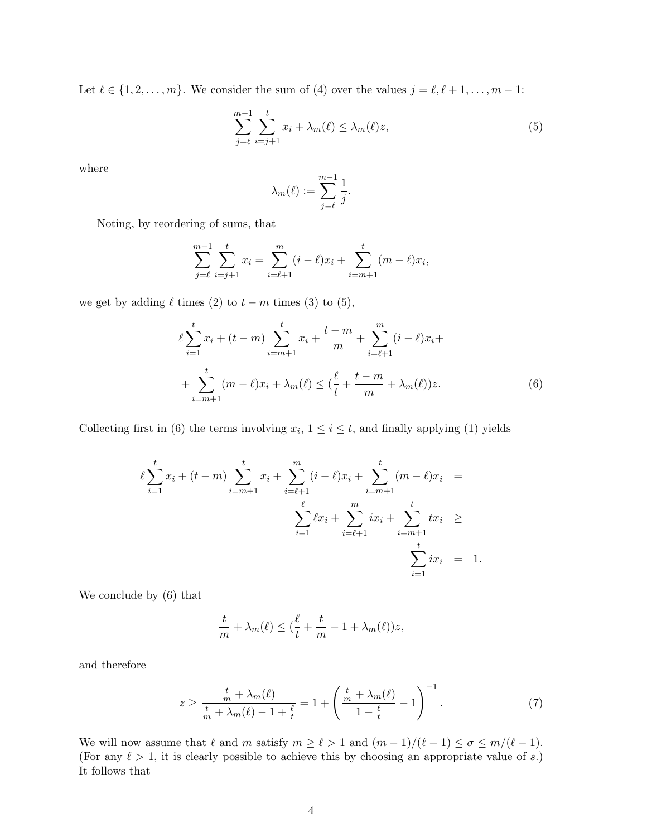Let  $\ell \in \{1, 2, \ldots, m\}$ . We consider the sum of (4) over the values  $j = \ell, \ell + 1, \ldots, m - 1$ :

$$
\sum_{j=\ell}^{m-1} \sum_{i=j+1}^{t} x_i + \lambda_m(\ell) \le \lambda_m(\ell) z,
$$
\n(5)

where

$$
\lambda_m(\ell):=\sum_{j=\ell}^{m-1}\frac{1}{j}.
$$

Noting, by reordering of sums, that

$$
\sum_{j=\ell}^{m-1} \sum_{i=j+1}^{t} x_i = \sum_{i=\ell+1}^{m} (i-\ell)x_i + \sum_{i=m+1}^{t} (m-\ell)x_i,
$$

we get by adding  $\ell$  times (2) to  $t - m$  times (3) to (5),

$$
\ell \sum_{i=1}^{t} x_i + (t - m) \sum_{i=m+1}^{t} x_i + \frac{t - m}{m} + \sum_{i=\ell+1}^{m} (i - \ell) x_i +
$$

$$
+ \sum_{i=m+1}^{t} (m - \ell) x_i + \lambda_m(\ell) \le (\frac{\ell}{t} + \frac{t - m}{m} + \lambda_m(\ell)) z.
$$
(6)

Collecting first in (6) the terms involving  $x_i$ ,  $1 \le i \le t$ , and finally applying (1) yields

$$
\ell \sum_{i=1}^{t} x_i + (t - m) \sum_{i=m+1}^{t} x_i + \sum_{i=\ell+1}^{m} (i - \ell) x_i + \sum_{i=m+1}^{t} (m - \ell) x_i =
$$
  

$$
\sum_{i=1}^{\ell} \ell x_i + \sum_{i=\ell+1}^{m} i x_i + \sum_{i=m+1}^{t} t x_i \ge
$$
  

$$
\sum_{i=1}^{t} i x_i = 1.
$$

We conclude by (6) that

$$
\frac{t}{m} + \lambda_m(\ell) \leq (\frac{\ell}{t} + \frac{t}{m} - 1 + \lambda_m(\ell))z,
$$

and therefore

$$
z \ge \frac{\frac{t}{m} + \lambda_m(\ell)}{\frac{t}{m} + \lambda_m(\ell) - 1 + \frac{\ell}{t}} = 1 + \left(\frac{\frac{t}{m} + \lambda_m(\ell)}{1 - \frac{\ell}{t}} - 1\right)^{-1}.
$$
 (7)

We will now assume that  $\ell$  and m satisfy  $m \ge \ell > 1$  and  $(m - 1)/(\ell - 1) \le \sigma \le m/(\ell - 1)$ . (For any  $\ell > 1$ , it is clearly possible to achieve this by choosing an appropriate value of s.) It follows that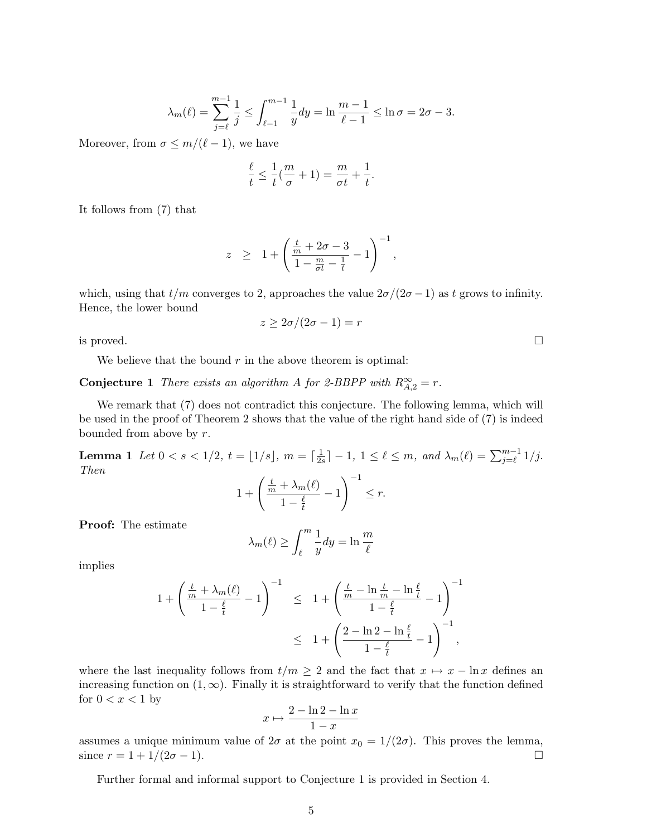$$
\lambda_m(\ell) = \sum_{j=\ell}^{m-1} \frac{1}{j} \le \int_{\ell-1}^{m-1} \frac{1}{y} dy = \ln \frac{m-1}{\ell-1} \le \ln \sigma = 2\sigma - 3.
$$

Moreover, from  $\sigma \leq m/(\ell - 1)$ , we have

$$
\frac{\ell}{t} \le \frac{1}{t}(\frac{m}{\sigma} + 1) = \frac{m}{\sigma t} + \frac{1}{t}.
$$

It follows from (7) that

$$
z \geq 1 + \left(\frac{\frac{t}{m} + 2\sigma - 3}{1 - \frac{m}{\sigma t} - \frac{1}{t}} - 1\right)^{-1},
$$

which, using that  $t/m$  converges to 2, approaches the value  $2\sigma/(2\sigma-1)$  as t grows to infinity. Hence, the lower bound

$$
z \ge 2\sigma/(2\sigma - 1) = r
$$

is proved.  $\Box$ 

We believe that the bound  $r$  in the above theorem is optimal:

**Conjecture 1** There exists an algorithm A for 2-BBPP with  $R_{A,2}^{\infty} = r$ .

We remark that  $(7)$  does not contradict this conjecture. The following lemma, which will be used in the proof of Theorem 2 shows that the value of the right hand side of (7) is indeed bounded from above by r.

**Lemma 1** Let  $0 < s < 1/2$ ,  $t = |1/s|$ ,  $m = \lceil \frac{1}{2} \rceil$  $\frac{1}{2s}$ ] - 1, 1  $\leq \ell \leq m$ , and  $\lambda_m(\ell) = \sum_{j=\ell}^{m-1} 1/j$ . Then  $1 + \left(\frac{\frac{t}{m} + \lambda_m(\ell)}{n}\right)$ − 1  $\sqrt{-1}$  $\leq r$ .

 $1-\frac{\ell}{t}$ t

Proof: The estimate

$$
\lambda_m(\ell) \ge \int_{\ell}^m \frac{1}{y} dy = \ln \frac{m}{\ell}
$$

implies

$$
\begin{array}{rcl} 1 + \left( \displaystyle\frac{\frac{t}{m} + \lambda_m(\ell)}{1 - \frac{\ell}{t}} - 1 \right)^{-1} & \leq & 1 + \left( \displaystyle\frac{\frac{t}{m} - \ln \frac{t}{m} - \ln \frac{\ell}{t}}{1 - \frac{\ell}{t}} - 1 \right)^{-1} \\ & \leq & 1 + \left( \displaystyle\frac{2 - \ln 2 - \ln \frac{\ell}{t}}{1 - \frac{\ell}{t}} - 1 \right)^{-1}, \end{array}
$$

where the last inequality follows from  $t/m \geq 2$  and the fact that  $x \mapsto x - \ln x$  defines an increasing function on  $(1, \infty)$ . Finally it is straightforward to verify that the function defined for  $0 < x < 1$  by

$$
x \mapsto \frac{2 - \ln 2 - \ln x}{1 - x}
$$

assumes a unique minimum value of  $2\sigma$  at the point  $x_0 = 1/(2\sigma)$ . This proves the lemma, since  $r = 1 + 1/(2\sigma - 1)$ .

Further formal and informal support to Conjecture 1 is provided in Section 4.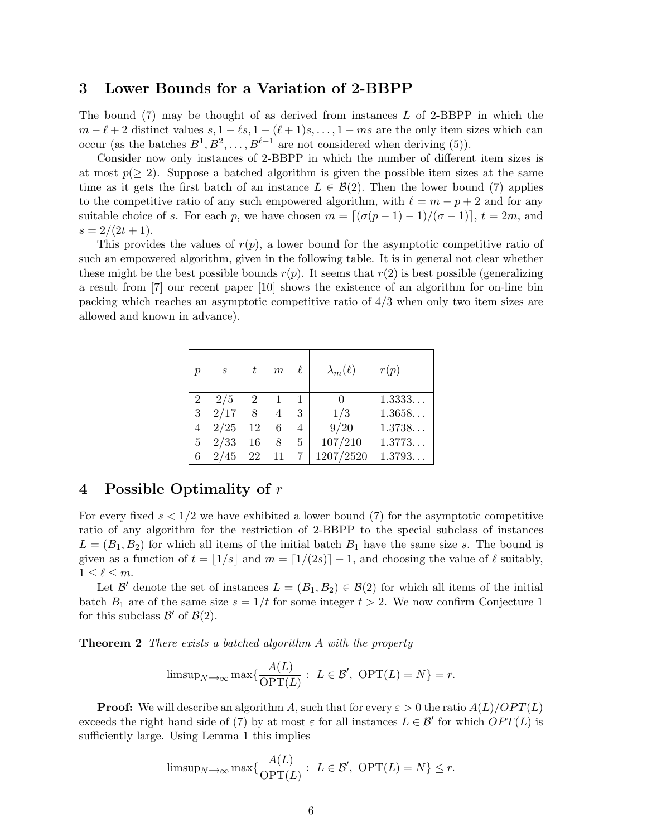#### 3 Lower Bounds for a Variation of 2-BBPP

The bound  $(7)$  may be thought of as derived from instances L of 2-BBPP in which the  $m - \ell + 2$  distinct values  $s, 1 - \ell s, 1 - (\ell + 1)s, \ldots, 1 - ms$  are the only item sizes which can occur (as the batches  $B^1, B^2, \ldots, B^{\ell-1}$  are not considered when deriving (5)).

Consider now only instances of 2-BBPP in which the number of different item sizes is at most  $p(\geq 2)$ . Suppose a batched algorithm is given the possible item sizes at the same time as it gets the first batch of an instance  $L \in \mathcal{B}(2)$ . Then the lower bound (7) applies to the competitive ratio of any such empowered algorithm, with  $\ell = m - p + 2$  and for any suitable choice of s. For each p, we have chosen  $m = \lfloor (\sigma(p - 1) - 1)/(\sigma - 1) \rfloor$ ,  $t = 2m$ , and  $s = 2/(2t+1).$ 

This provides the values of  $r(p)$ , a lower bound for the asymptotic competitive ratio of such an empowered algorithm, given in the following table. It is in general not clear whether these might be the best possible bounds  $r(p)$ . It seems that  $r(2)$  is best possible (generalizing a result from [7] our recent paper [10] shows the existence of an algorithm for on-line bin packing which reaches an asymptotic competitive ratio of 4/3 when only two item sizes are allowed and known in advance).

| р | $\boldsymbol{s}$ | t  | m  | ł. | $\lambda_m(\ell)$ | r(p)   |
|---|------------------|----|----|----|-------------------|--------|
| 2 | 2/5              | 2  |    |    |                   | 1.3333 |
| 3 | 2/17             | 8  | 4  | 3  | 1/3               | 1.3658 |
| 4 | 2/25             | 12 | 6  | 4  | 9/20              | 1.3738 |
| 5 | 2/33             | 16 | 8  | 5  | 107/210           | 1.3773 |
| 6 | 2/45             | 22 | 11 |    | 1207/2520         | 1.3793 |

### 4 Possible Optimality of r

For every fixed  $s < 1/2$  we have exhibited a lower bound (7) for the asymptotic competitive ratio of any algorithm for the restriction of 2-BBPP to the special subclass of instances  $L = (B_1, B_2)$  for which all items of the initial batch  $B_1$  have the same size s. The bound is given as a function of  $t = |1/s|$  and  $m = \lfloor 1/(2s) \rfloor - 1$ , and choosing the value of  $\ell$  suitably,  $1 \leq \ell \leq m$ .

Let B' denote the set of instances  $L = (B_1, B_2) \in \mathcal{B}(2)$  for which all items of the initial batch  $B_1$  are of the same size  $s = 1/t$  for some integer  $t > 2$ . We now confirm Conjecture 1 for this subclass  $\mathcal{B}'$  of  $\mathcal{B}(2)$ .

**Theorem 2** There exists a batched algorithm A with the property

$$
\text{limsup}_{N \to \infty} \max \{ \frac{A(L)}{\text{OPT}(L)} : L \in \mathcal{B}', \text{ OPT}(L) = N \} = r.
$$

**Proof:** We will describe an algorithm A, such that for every  $\varepsilon > 0$  the ratio  $A(L)/OPT(L)$ exceeds the right hand side of (7) by at most  $\varepsilon$  for all instances  $L \in \mathcal{B}'$  for which  $OPT(L)$  is sufficiently large. Using Lemma 1 this implies

$$
\text{limsup}_{N \to \infty} \max \{ \frac{A(L)}{\text{OPT}(L)} : L \in \mathcal{B}', \text{ OPT}(L) = N \} \le r.
$$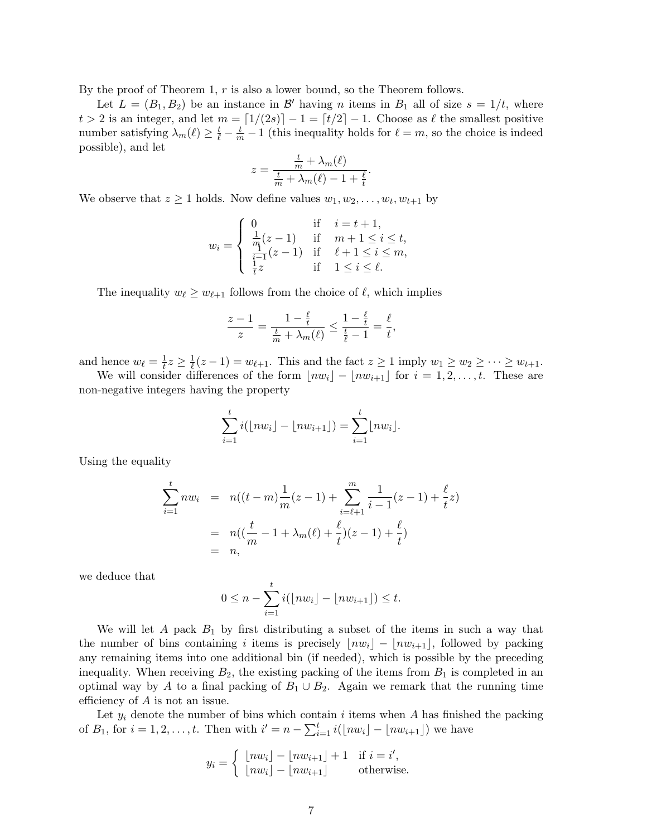By the proof of Theorem 1, r is also a lower bound, so the Theorem follows.

Let  $L = (B_1, B_2)$  be an instance in  $\mathcal{B}'$  having *n* items in  $B_1$  all of size  $s = 1/t$ , where  $t > 2$  is an integer, and let  $m = \lfloor 1/(2s) \rfloor - 1 = \lfloor t/2 \rfloor - 1$ . Choose as  $\ell$  the smallest positive number satisfying  $\lambda_m(\ell) \ge \frac{t}{\ell} - \frac{t}{m} - 1$  (this inequality holds for  $\ell = m$ , so the choice is indeed possible), and let

$$
z = \frac{\frac{t}{m} + \lambda_m(\ell)}{\frac{t}{m} + \lambda_m(\ell) - 1 + \frac{\ell}{t}}
$$

.

We observe that  $z \geq 1$  holds. Now define values  $w_1, w_2, \ldots, w_t, w_{t+1}$  by

$$
w_i = \begin{cases} 0 & \text{if } i = t + 1, \\ \frac{1}{m}(z - 1) & \text{if } m + 1 \le i \le t, \\ \frac{i-1}{i} (z - 1) & \text{if } \ell + 1 \le i \le m, \\ \frac{1}{t} z & \text{if } 1 \le i \le \ell. \end{cases}
$$

The inequality  $w_{\ell} \geq w_{\ell+1}$  follows from the choice of  $\ell$ , which implies

$$
\frac{z-1}{z} = \frac{1 - \frac{\ell}{t}}{\frac{t}{m} + \lambda_m(\ell)} \le \frac{1 - \frac{\ell}{t}}{\frac{t}{\ell} - 1} = \frac{\ell}{t},
$$

and hence  $w_{\ell} = \frac{1}{t}$  $\frac{1}{t}z \geq \frac{1}{\ell}$  $\frac{1}{\ell}(z-1) = w_{\ell+1}$ . This and the fact  $z \ge 1$  imply  $w_1 \ge w_2 \ge \cdots \ge w_{t+1}$ .

We will consider differences of the form  $\lfloor nw_i \rfloor - \lfloor nw_{i+1} \rfloor$  for  $i = 1, 2, \ldots, t$ . These are non-negative integers having the property

$$
\sum_{i=1}^t i(\lfloor nw_i \rfloor - \lfloor nw_{i+1} \rfloor) = \sum_{i=1}^t \lfloor nw_i \rfloor.
$$

Using the equality

$$
\sum_{i=1}^{t} nw_i = n((t-m)\frac{1}{m}(z-1) + \sum_{i=\ell+1}^{m} \frac{1}{i-1}(z-1) + \frac{\ell}{t}z)
$$
  
=  $n((\frac{t}{m} - 1 + \lambda_m(\ell) + \frac{\ell}{t})(z-1) + \frac{\ell}{t})$   
=  $n$ ,

we deduce that

$$
0 \leq n - \sum_{i=1}^{t} i(\lfloor nw_i \rfloor - \lfloor nw_{i+1} \rfloor) \leq t.
$$

We will let  $A$  pack  $B_1$  by first distributing a subset of the items in such a way that the number of bins containing i items is precisely  $\lfloor nw_i \rfloor - \lfloor nw_{i+1} \rfloor$ , followed by packing any remaining items into one additional bin (if needed), which is possible by the preceding inequality. When receiving  $B_2$ , the existing packing of the items from  $B_1$  is completed in an optimal way by A to a final packing of  $B_1 \cup B_2$ . Again we remark that the running time efficiency of A is not an issue.

Let  $y_i$  denote the number of bins which contain i items when A has finished the packing Let  $y_i$  denote the number of bins which cont<br>of  $B_1$ , for  $i = 1, 2, ..., t$ . Then with  $i' = n - \sum_{i=1}^{t}$  $\sum_{i=1}^t i(\lfloor nw_i \rfloor - \lfloor nw_{i+1} \rfloor)$  we have

$$
y_i = \begin{cases} \lfloor nw_i \rfloor - \lfloor nw_{i+1} \rfloor + 1 & \text{if } i = i',\\ \lfloor nw_i \rfloor - \lfloor nw_{i+1} \rfloor & \text{otherwise.} \end{cases}
$$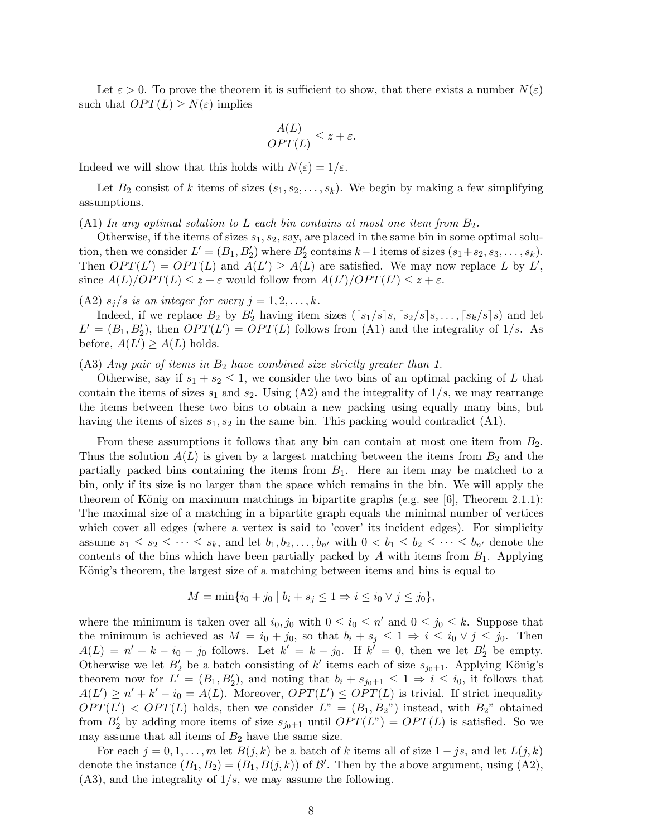Let  $\varepsilon > 0$ . To prove the theorem it is sufficient to show, that there exists a number  $N(\varepsilon)$ such that  $OPT(L) \geq N(\varepsilon)$  implies

$$
\frac{A(L)}{OPT(L)} \le z + \varepsilon.
$$

Indeed we will show that this holds with  $N(\varepsilon) = 1/\varepsilon$ .

Let  $B_2$  consist of k items of sizes  $(s_1, s_2, \ldots, s_k)$ . We begin by making a few simplifying assumptions.

 $(A1)$  In any optimal solution to L each bin contains at most one item from  $B_2$ .

Otherwise, if the items of sizes  $s_1, s_2$ , say, are placed in the same bin in some optimal solution, then we consider  $L' = (B_1, B_2')$  where  $B_2'$  contains  $k-1$  items of sizes  $(s_1 + s_2, s_3, \ldots, s_k)$ . Then  $OPT(L') = OPT(L)$  and  $A(L') \ge A(L)$  are satisfied. We may now replace L by L', since  $A(L)/OPT(L) \leq z + \varepsilon$  would follow from  $A(L')/OPT(L') \leq z + \varepsilon$ .

(A2)  $s_j/s$  is an integer for every  $j = 1, 2, \ldots, k$ .

Indeed, if we replace  $B_2$  by  $B_2'$  having item sizes  $(\lceil s_1/s \rceil s, \lceil s_2/s \rceil s, \ldots, \lceil s_k/s \rceil s)$  and let  $L' = (B_1, B_2')$ , then  $OPT(L') = OPT(L)$  follows from (A1) and the integrality of 1/s. As before,  $A(L') \geq A(L)$  holds.

 $(A3)$  Any pair of items in  $B_2$  have combined size strictly greater than 1.

Otherwise, say if  $s_1 + s_2 \leq 1$ , we consider the two bins of an optimal packing of L that contain the items of sizes  $s_1$  and  $s_2$ . Using (A2) and the integrality of  $1/s$ , we may rearrange the items between these two bins to obtain a new packing using equally many bins, but having the items of sizes  $s_1, s_2$  in the same bin. This packing would contradict  $(A1)$ .

From these assumptions it follows that any bin can contain at most one item from  $B_2$ . Thus the solution  $A(L)$  is given by a largest matching between the items from  $B_2$  and the partially packed bins containing the items from  $B_1$ . Here an item may be matched to a bin, only if its size is no larger than the space which remains in the bin. We will apply the theorem of König on maximum matchings in bipartite graphs (e.g. see  $[6]$ , Theorem 2.1.1): The maximal size of a matching in a bipartite graph equals the minimal number of vertices which cover all edges (where a vertex is said to 'cover' its incident edges). For simplicity assume  $s_1 \leq s_2 \leq \cdots \leq s_k$ , and let  $b_1, b_2, \ldots, b_{n'}$  with  $0 < b_1 \leq b_2 \leq \cdots \leq b_{n'}$  denote the contents of the bins which have been partially packed by A with items from  $B_1$ . Applying König's theorem, the largest size of a matching between items and bins is equal to

$$
M = \min\{i_0 + j_0 \mid b_i + s_j \le 1 \Rightarrow i \le i_0 \lor j \le j_0\},\
$$

where the minimum is taken over all  $i_0, j_0$  with  $0 \le i_0 \le n'$  and  $0 \le j_0 \le k$ . Suppose that the minimum is achieved as  $M = i_0 + j_0$ , so that  $b_i + s_j \leq 1 \Rightarrow i \leq i_0 \vee j \leq j_0$ . Then  $A(L) = n' + k - i_0 - j_0$  follows. Let  $k' = k - j_0$ . If  $k' = 0$ , then we let  $B'_2$  be empty. Otherwise we let  $B_2'$  be a batch consisting of k' items each of size  $s_{j_0+1}$ . Applying König's theorem now for  $L' = (B_1, B_2')$ , and noting that  $b_i + s_{j_0+1} \leq 1 \Rightarrow i \leq i_0$ , it follows that  $A(L') \geq n' + k' - i_0 = A(L)$ . Moreover,  $OPT(L') \leq OPT(L)$  is trivial. If strict inequality  $OPT(L') < OPT(L)$  holds, then we consider  $L'' = (B_1, B_2'')$  instead, with  $B_2''$  obtained from  $B'_2$  by adding more items of size  $s_{j_0+1}$  until  $OPT(L^{\nu}) = OPT(L)$  is satisfied. So we may assume that all items of  $B_2$  have the same size.

For each  $j = 0, 1, \ldots, m$  let  $B(j, k)$  be a batch of k items all of size  $1 - js$ , and let  $L(j, k)$ denote the instance  $(B_1, B_2) = (B_1, B(j, k))$  of  $\mathcal{B}'$ . Then by the above argument, using  $(A2)$ ,  $(A3)$ , and the integrality of  $1/s$ , we may assume the following.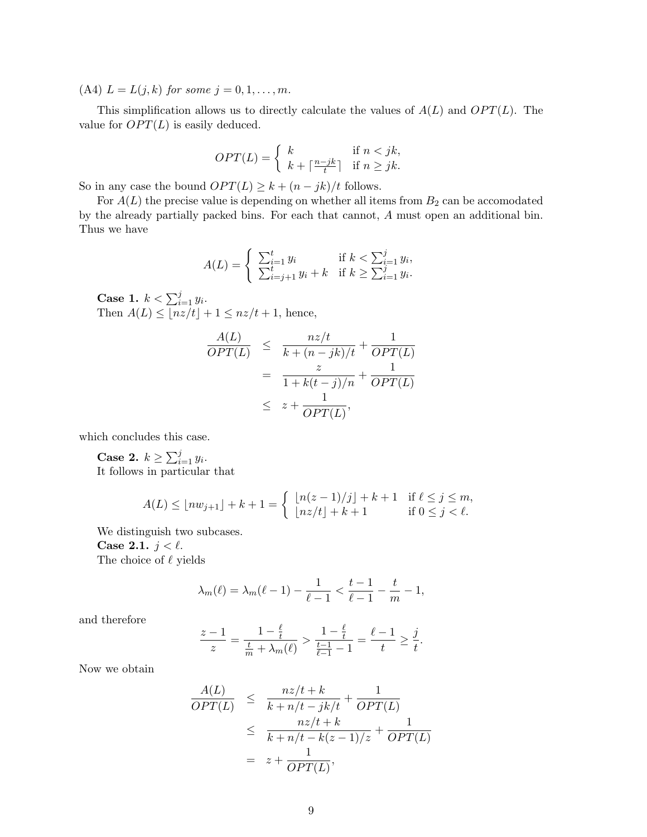(A4)  $L = L(j, k)$  for some  $j = 0, 1, ..., m$ .

This simplification allows us to directly calculate the values of  $A(L)$  and  $OPT(L)$ . The value for  $OPT(L)$  is easily deduced.

$$
OPT(L) = \begin{cases} k & \text{if } n < jk, \\ k + \lceil \frac{n - jk}{t} \rceil & \text{if } n \ge jk. \end{cases}
$$

So in any case the bound  $OPT(L) \geq k + (n - jk)/t$  follows.

For  $A(L)$  the precise value is depending on whether all items from  $B_2$  can be accomodated by the already partially packed bins. For each that cannot, A must open an additional bin. Thus we have

$$
A(L) = \begin{cases} \sum_{i=1}^{t} y_i & \text{if } k < \sum_{i=1}^{j} y_i, \\ \sum_{i=j+1}^{t} y_i + k & \text{if } k \ge \sum_{i=1}^{j} y_i. \end{cases}
$$

**Case 1.**  $k < \sum_{i=1}^{j} y_i$ . Then  $A(L) \leq |nz/t| + 1 \leq nz/t + 1$ , hence,

$$
\frac{A(L)}{OPT(L)} \leq \frac{nz/t}{k + (n - jk)/t} + \frac{1}{OPT(L)}
$$
  
= 
$$
\frac{z}{1 + k(t - j)/n} + \frac{1}{OPT(L)}
$$
  

$$
\leq z + \frac{1}{OPT(L)},
$$

which concludes this case.

Case 2.  $k \geq \sum_{i=1}^{j}$  $_{i=1}^{j} y_i$ . It follows in particular that

$$
A(L) \le \lfloor nw_{j+1} \rfloor + k + 1 = \begin{cases} \lfloor n(z-1)/j \rfloor + k + 1 & \text{if } \ell \le j \le m, \\ \lfloor nz/t \rfloor + k + 1 & \text{if } 0 \le j < \ell. \end{cases}
$$

We distinguish two subcases.

Case 2.1.  $j < \ell$ . The choice of  $\ell$  yields

$$
\lambda_m(\ell) = \lambda_m(\ell-1) - \frac{1}{\ell-1} < \frac{t-1}{\ell-1} - \frac{t}{m} - 1,
$$

and therefore

$$
\frac{z-1}{z} = \frac{1 - \frac{\ell}{t}}{\frac{t}{m} + \lambda_m(\ell)} > \frac{1 - \frac{\ell}{t}}{\frac{t-1}{\ell - 1} - 1} = \frac{\ell - 1}{t} \ge \frac{j}{t}.
$$

Now we obtain

$$
\frac{A(L)}{OPT(L)} \leq \frac{nz/t + k}{k + n/t - jk/t} + \frac{1}{OPT(L)}
$$
  
\n
$$
\leq \frac{nz/t + k}{k + n/t - k(z - 1)/z} + \frac{1}{OPT(L)}
$$
  
\n
$$
= z + \frac{1}{OPT(L)},
$$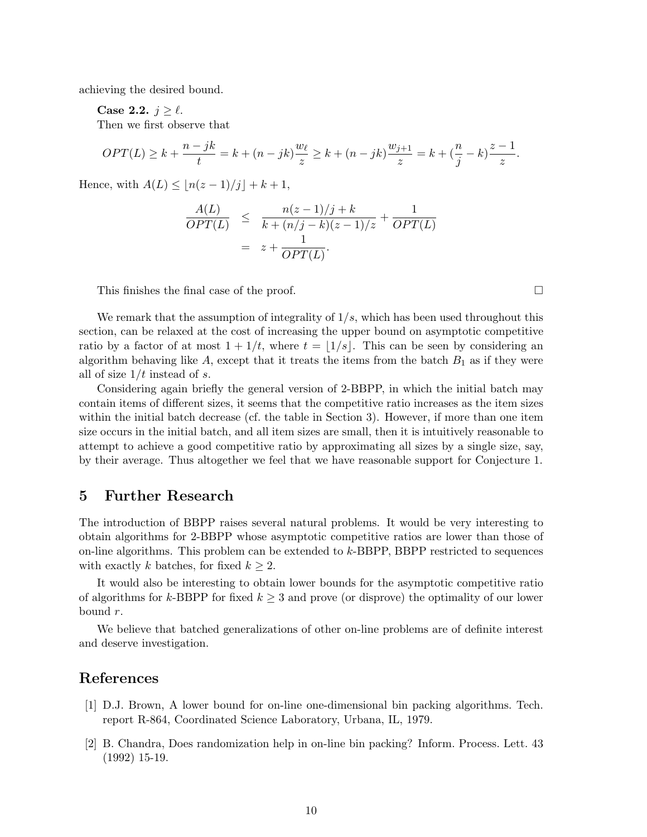achieving the desired bound.

Case 2.2.  $j \geq \ell$ .

Then we first observe that

$$
OPT(L) \ge k + \frac{n - jk}{t} = k + (n - jk)\frac{w_{\ell}}{z} \ge k + (n - jk)\frac{w_{j+1}}{z} = k + \left(\frac{n}{j} - k\right)\frac{z - 1}{z}.
$$

Hence, with  $A(L) \leq |n(z - 1)/j| + k + 1$ ,

$$
\frac{A(L)}{OPT(L)} \leq \frac{n(z-1)/j+k}{k+(n/j-k)(z-1)/z} + \frac{1}{OPT(L)}
$$

$$
= z + \frac{1}{OPT(L)}.
$$

This finishes the final case of the proof.  $\Box$ 

We remark that the assumption of integrality of  $1/s$ , which has been used throughout this section, can be relaxed at the cost of increasing the upper bound on asymptotic competitive ratio by a factor of at most  $1 + 1/t$ , where  $t = |1/s|$ . This can be seen by considering an algorithm behaving like A, except that it treats the items from the batch  $B_1$  as if they were all of size  $1/t$  instead of s.

Considering again briefly the general version of 2-BBPP, in which the initial batch may contain items of different sizes, it seems that the competitive ratio increases as the item sizes within the initial batch decrease (cf. the table in Section 3). However, if more than one item size occurs in the initial batch, and all item sizes are small, then it is intuitively reasonable to attempt to achieve a good competitive ratio by approximating all sizes by a single size, say, by their average. Thus altogether we feel that we have reasonable support for Conjecture 1.

#### 5 Further Research

The introduction of BBPP raises several natural problems. It would be very interesting to obtain algorithms for 2-BBPP whose asymptotic competitive ratios are lower than those of on-line algorithms. This problem can be extended to  $k$ -BBPP, BBPP restricted to sequences with exactly k batches, for fixed  $k \geq 2$ .

It would also be interesting to obtain lower bounds for the asymptotic competitive ratio of algorithms for k-BBPP for fixed  $k \geq 3$  and prove (or disprove) the optimality of our lower bound r.

We believe that batched generalizations of other on-line problems are of definite interest and deserve investigation.

## References

- [1] D.J. Brown, A lower bound for on-line one-dimensional bin packing algorithms. Tech. report R-864, Coordinated Science Laboratory, Urbana, IL, 1979.
- [2] B. Chandra, Does randomization help in on-line bin packing? Inform. Process. Lett. 43 (1992) 15-19.